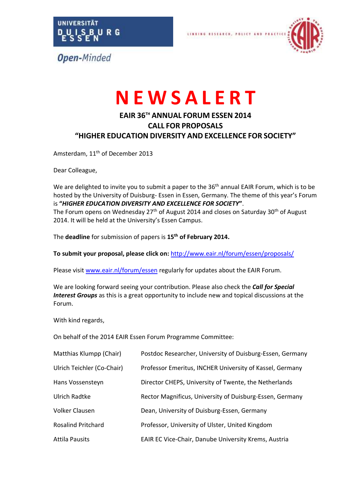



# **N E W S A L E R T**

LINKING

# **EAIR 36 TH ANNUAL FORUM ESSEN 2014 CALL FOR PROPOSALS "HIGHER EDUCATION DIVERSITY AND EXCELLENCE FOR SOCIETY"**

Amsterdam, 11<sup>th</sup> of December 2013

Dear Colleague,

We are delighted to invite you to submit a paper to the 36<sup>th</sup> annual EAIR Forum, which is to be hosted by the University of Duisburg- Essen in Essen, Germany. The theme of this year's Forum is **"***HIGHER EDUCATION DIVERSITY AND EXCELLENCE FOR SOCIETY***"**. The Forum opens on Wednesday  $27<sup>th</sup>$  of August 2014 and closes on Saturday 30<sup>th</sup> of August 2014. It will be held at the University's Essen Campus.

The **deadline** for submission of papers is **15th of February 2014.** 

**To submit your proposal, please click on:** <http://www.eair.nl/forum/essen/proposals/>

Please visit [www.eair.nl/forum/essen](http://www.eair.nl/forum/essen) regularly for updates about the EAIR Forum.

We are looking forward seeing your contribution. Please also check the *Call for Special Interest Groups* as this is a great opportunity to include new and topical discussions at the Forum.

With kind regards,

On behalf of the 2014 EAIR Essen Forum Programme Committee:

| Matthias Klumpp (Chair)    | Postdoc Researcher, University of Duisburg-Essen, Germany   |
|----------------------------|-------------------------------------------------------------|
| Ulrich Teichler (Co-Chair) | Professor Emeritus, INCHER University of Kassel, Germany    |
| Hans Vossensteyn           | Director CHEPS, University of Twente, the Netherlands       |
| Ulrich Radtke              | Rector Magnificus, University of Duisburg-Essen, Germany    |
| Volker Clausen             | Dean, University of Duisburg-Essen, Germany                 |
| <b>Rosalind Pritchard</b>  | Professor, University of Ulster, United Kingdom             |
| <b>Attila Pausits</b>      | <b>EAIR EC Vice-Chair, Danube University Krems, Austria</b> |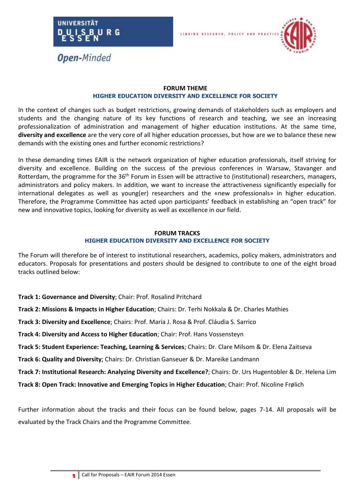



#### **FORUM THEME HIGHER EDUCATION DIVERSITY AND EXCELLENCE FOR SOCIETY**

In the context of changes such as budget restrictions, growing demands of stakeholders such as employers and students and the changing nature of its key functions of research and teaching, we see an increasing professionalization of administration and management of higher education institutions. At the same time, **diversity and excellence** are the very core of all higher education processes, but how are we to balance these new demands with the existing ones and further economic restrictions?

In these demanding times EAIR is the network organization of higher education professionals, itself striving for diversity and excellence. Building on the success of the previous conferences in Warsaw, Stavanger and Rotterdam, the programme for the 36<sup>th</sup> Forum in Essen will be attractive to (institutional) researchers, managers, administrators and policy makers. In addition, we want to increase the attractiveness significantly especially for international delegates as well as young(er) researchers and the «new professionals» in higher education. Therefore, the Programme Committee has acted upon participants' feedback in establishing an "open track" for new and innovative topics, looking for diversity as well as excellence in our field.

#### **FORUM TRACKS HIGHER EDUCATION DIVERSITY AND EXCELLENCE FOR SOCIETY**

The Forum will therefore be of interest to institutional researchers, academics, policy makers, administrators and educators. Proposals for presentations and posters should be designed to contribute to one of the eight broad tracks outlined below:

- **Track 1: Governance and Diversity**; Chair: Prof. Rosalind Pritchard
- **Track 2: Missions & Impacts in Higher Education**; Chairs: Dr. Terhi Nokkala & Dr. Charles Mathies
- **Track 3: Diversity and Excellence**; Chairs: Prof. Maria J. Rosa & Prof. Cláudia S. Sarrico
- **Track 4: Diversity and Access to Higher Education**; Chair: Prof. Hans Vossensteyn
- **Track 5: Student Experience: Teaching, Learning & Services**; Chairs: Dr. Clare Milsom & Dr. Elena Zaitseva
- **Track 6: Quality and Diversity**; Chairs: Dr. Christian Ganseuer & Dr. Mareike Landmann
- **Track 7: Institutional Research: Analyzing Diversity and Excellence?**; Chairs: Dr. Urs Hugentobler & Dr. Helena Lim
- **Track 8: Open Track: Innovative and Emerging Topics in Higher Education**; Chair: Prof. Nicoline Frølich

Further information about the tracks and their focus can be found below, pages 7-14. All proposals will be evaluated by the Track Chairs and the Programme Committee.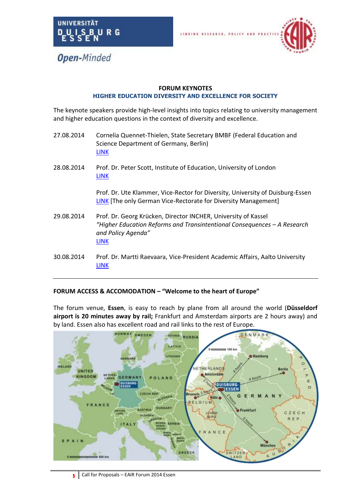



#### **FORUM KEYNOTES HIGHER EDUCATION DIVERSITY AND EXCELLENCE FOR SOCIETY**

The keynote speakers provide high-level insights into topics relating to university management and higher education questions in the context of diversity and excellence.

- 27.08.2014 Cornelia Quennet-Thielen, State Secretary BMBF (Federal Education and Science Department of Germany, Berlin) [LINK](http://www.bmbf.de/en/563.php)
- 28.08.2014 Prof. Dr. Peter Scott, Institute of Education, University of London [LINK](http://www.ioe.ac.uk/staff/51229.html)

Prof. Dr. Ute Klammer, Vice-Rector for Diversity, University of Duisburg-Essen [LINK](http://www.uni-due.de/biwi/klammer/prorektorat.shtml) [The only German Vice-Rectorate for Diversity Management]

- 29.08.2014 Prof. Dr. Georg Krücken, Director INCHER, University of Kassel *"Higher Education Reforms and Transintentional Consequences – A Research and Policy Agenda"* [LINK](https://www.uni-kassel.de/einrichtungen/en/incher/team/prof-dr-georg-kruecken.html)
- 30.08.2014 Prof. Dr. Martti Raevaara, Vice-President Academic Affairs, Aalto University [LINK](http://www.aalto.fi/en/about/organization/management/)

# **FORUM ACCESS & ACCOMODATION – "Welcome to the heart of Europe"**

The forum venue, **Essen**, is easy to reach by plane from all around the world (**Düsseldorf airport is 20 minutes away by rail;** Frankfurt and Amsterdam airports are 2 hours away) and by land. Essen also has excellent road and rail links to the rest of Europe.

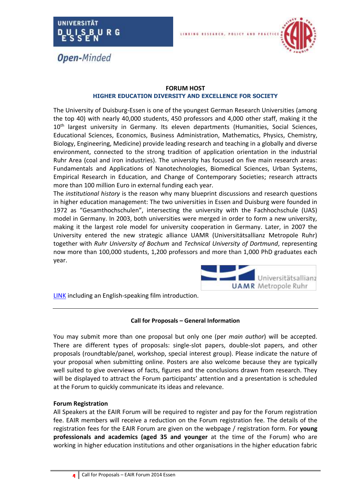



#### **FORUM HOST HIGHER EDUCATION DIVERSITY AND EXCELLENCE FOR SOCIETY**

**LINKING** 

The University of Duisburg-Essen is one of the youngest German Research Universities (among the top 40) with nearly 40,000 students, 450 professors and 4,000 other staff, making it the 10<sup>th</sup> largest university in Germany. Its eleven departments (Humanities, Social Sciences, Educational Sciences, Economics, Business Administration, Mathematics, Physics, Chemistry, Biology, Engineering, Medicine) provide leading research and teaching in a globally and diverse environment, connected to the strong tradition of application orientation in the industrial Ruhr Area (coal and iron industries). The university has focused on five main research areas: Fundamentals and Applications of Nanotechnologies, Biomedical Sciences, Urban Systems, Empirical Research in Education, and Change of Contemporary Societies; research attracts more than 100 million Euro in external funding each year.

The *institutional history* is the reason why many blueprint discussions and research questions in higher education management: The two universities in Essen and Duisburg were founded in 1972 as "Gesamthochschulen", intersecting the university with the Fachhochschule (UAS) model in Germany. In 2003, both universities were merged in order to form a new university, making it the largest role model for university cooperation in Germany. Later, in 2007 the University entered the new strategic alliance UAMR (Universitätsallianz Metropole Ruhr) together with *Ruhr University of Bochum* and *Technical University of Dortmund*, representing now more than 100,000 students, 1,200 professors and more than 1,000 PhD graduates each year.



[LINK](http://www.uni-due.de/en/university.php) including an English-speaking film introduction.

#### **Call for Proposals – General Information**

You may submit more than one proposal but only one (per *main author*) will be accepted. There are different types of proposals: single-slot papers, double-slot papers, and other proposals (roundtable/panel, workshop, special interest group). Please indicate the nature of your proposal when submitting online. Posters are also welcome because they are typically well suited to give overviews of facts, figures and the conclusions drawn from research. They will be displayed to attract the Forum participants' attention and a presentation is scheduled at the Forum to quickly communicate its ideas and relevance.

#### **Forum Registration**

All Speakers at the EAIR Forum will be required to register and pay for the Forum registration fee. EAIR members will receive a reduction on the Forum registration fee. The details of the registration fees for the EAIR Forum are given on the webpage / registration form. For **young professionals and academics (aged 35 and younger** at the time of the Forum) who are working in higher education institutions and other organisations in the higher education fabric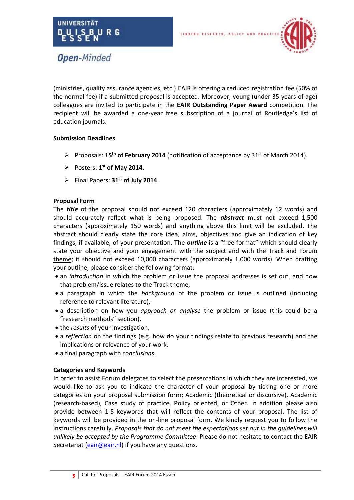

(ministries, quality assurance agencies, etc.) EAIR is offering a reduced registration fee (50% of

the normal fee) if a submitted proposal is accepted. Moreover, young (under 35 years of age) colleagues are invited to participate in the **EAIR Outstanding Paper Award** competition. The recipient will be awarded a one-year free subscription of a journal of Routledge's list of education journals.

**LINKING** 

#### **Submission Deadlines**

- Proposals: **15th of February 2014** (notification of acceptance by 31st of March 2014).
- $\triangleright$  Posters: 1<sup>st</sup> of May 2014.
- Final Papers: **31st of July 2014**.

#### **Proposal Form**

The *title* of the proposal should not exceed 120 characters (approximately 12 words) and should accurately reflect what is being proposed. The *abstract* must not exceed 1,500 characters (approximately 150 words) and anything above this limit will be excluded. The abstract should clearly state the core idea, aims, objectives and give an indication of key findings, if available, of your presentation. The *outline* is a "free format" which should clearly state your objective and your engagement with the subject and with the Track and Forum theme; it should not exceed 10,000 characters (approximately 1,000 words). When drafting your outline, please consider the following format:

- an *introduction* in which the problem or issue the proposal addresses is set out, and how that problem/issue relates to the Track theme,
- a paragraph in which the *background* of the problem or issue is outlined (including reference to relevant literature),
- a description on how you *approach or analyse* the problem or issue (this could be a "research methods" section),
- the *results* of your investigation,
- a *reflection* on the findings (e.g. how do your findings relate to previous research) and the implications or relevance of your work,
- a final paragraph with *conclusions*.

#### **Categories and Keywords**

In order to assist Forum delegates to select the presentations in which they are interested, we would like to ask you to indicate the character of your proposal by ticking one or more categories on your proposal submission form; Academic (theoretical or discursive), Academic (research-based), Case study of practice, Policy oriented, or Other. In addition please also provide between 1-5 keywords that will reflect the contents of your proposal. The list of keywords will be provided in the on-line proposal form. We kindly request you to follow the instructions carefully. *Proposals that do not meet the expectations set out in the guidelines will unlikely be accepted by the Programme Committee*. Please do not hesitate to contact the EAIR Secretariat [\(eair@eair.nl\)](mailto:eair@eair.nl) if you have any questions.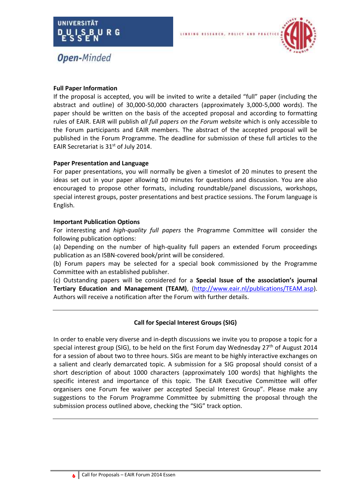



# **Full Paper Information**

If the proposal is accepted, you will be invited to write a detailed "full" paper (including the abstract and outline) of 30,000-50,000 characters (approximately 3,000-5,000 words). The paper should be written on the basis of the accepted proposal and according to formatting rules of EAIR. EAIR will publish *all full papers on the Forum website* which is only accessible to the Forum participants and EAIR members. The abstract of the accepted proposal will be published in the Forum Programme. The deadline for submission of these full articles to the EAIR Secretariat is 31<sup>st</sup> of July 2014.

**LINKING** 

#### **Paper Presentation and Language**

For paper presentations, you will normally be given a timeslot of 20 minutes to present the ideas set out in your paper allowing 10 minutes for questions and discussion. You are also encouraged to propose other formats, including roundtable/panel discussions, workshops, special interest groups, poster presentations and best practice sessions. The Forum language is English.

#### **Important Publication Options**

For interesting and *high-quality full papers* the Programme Committee will consider the following publication options:

(a) Depending on the number of high-quality full papers an extended Forum proceedings publication as an ISBN-covered book/print will be considered.

(b) Forum papers may be selected for a special book commissioned by the Programme Committee with an established publisher.

(c) Outstanding papers will be considered for a **Special Issue of the association's journal Tertiary Education and Management (TEAM)**, [\(http://www.eair.nl/publications/TEAM.asp\)](http://www.eair.nl/publications/TEAM.asp). Authors will receive a notification after the Forum with further details.

# **Call for Special Interest Groups (SIG)**

In order to enable very diverse and in-depth discussions we invite you to propose a topic for a special interest group (SIG), to be held on the first Forum day Wednesday 27<sup>th</sup> of August 2014 for a session of about two to three hours. SIGs are meant to be highly interactive exchanges on a salient and clearly demarcated topic. A submission for a SIG proposal should consist of a short description of about 1000 characters (approximately 100 words) that highlights the specific interest and importance of this topic. The EAIR Executive Committee will offer organisers one Forum fee waiver per accepted Special Interest Group". Please make any suggestions to the Forum Programme Committee by submitting the proposal through the submission process outlined above, checking the "SIG" track option.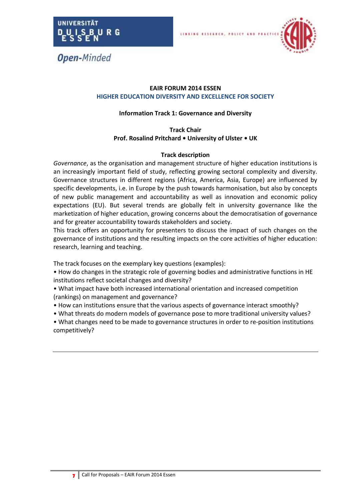



# **EAIR FORUM 2014 ESSEN HIGHER EDUCATION DIVERSITY AND EXCELLENCE FOR SOCIETY**

LINKING

# **Information Track 1: Governance and Diversity**

# **Track Chair Prof. Rosalind Pritchard • University of Ulster • UK**

# **Track description**

*Governance*, as the organisation and management structure of higher education institutions is an increasingly important field of study, reflecting growing sectoral complexity and diversity. Governance structures in different regions (Africa, America, Asia, Europe) are influenced by specific developments, i.e. in Europe by the push towards harmonisation, but also by concepts of new public management and accountability as well as innovation and economic policy expectations (EU). But several trends are globally felt in university governance like the marketization of higher education, growing concerns about the democratisation of governance and for greater accountability towards stakeholders and society.

This track offers an opportunity for presenters to discuss the impact of such changes on the governance of institutions and the resulting impacts on the core activities of higher education: research, learning and teaching.

The track focuses on the exemplary key questions (examples):

• How do changes in the strategic role of governing bodies and administrative functions in HE institutions reflect societal changes and diversity?

• What impact have both increased international orientation and increased competition (rankings) on management and governance?

- How can institutions ensure that the various aspects of governance interact smoothly?
- What threats do modern models of governance pose to more traditional university values?

• What changes need to be made to governance structures in order to re-position institutions competitively?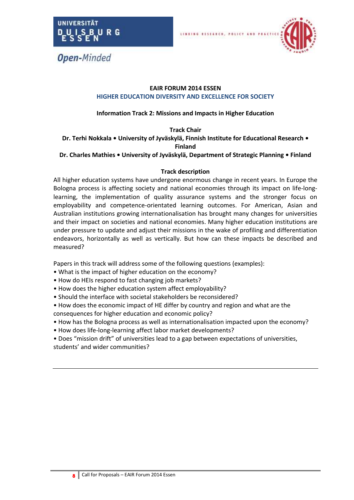



## **EAIR FORUM 2014 ESSEN HIGHER EDUCATION DIVERSITY AND EXCELLENCE FOR SOCIETY**

**LINKING** 

# **Information Track 2: Missions and Impacts in Higher Education**

**Track Chair**

**Dr. Terhi Nokkala • University of Jyväskylä, Finnish Institute for Educational Research • Finland**

**Dr. Charles Mathies • University of Jyväskylä, Department of Strategic Planning • Finland**

#### **Track description**

All higher education systems have undergone enormous change in recent years. In Europe the Bologna process is affecting society and national economies through its impact on life-longlearning, the implementation of quality assurance systems and the stronger focus on employability and competence-orientated learning outcomes. For American, Asian and Australian institutions growing internationalisation has brought many changes for universities and their impact on societies and national economies. Many higher education institutions are under pressure to update and adjust their missions in the wake of profiling and differentiation endeavors, horizontally as well as vertically. But how can these impacts be described and measured?

- What is the impact of higher education on the economy?
- How do HEIs respond to fast changing job markets?
- How does the higher education system affect employability?
- Should the interface with societal stakeholders be reconsidered?
- How does the economic impact of HE differ by country and region and what are the consequences for higher education and economic policy?
- How has the Bologna process as well as internationalisation impacted upon the economy?
- How does life-long-learning affect labor market developments?
- Does "mission drift" of universities lead to a gap between expectations of universities, students' and wider communities?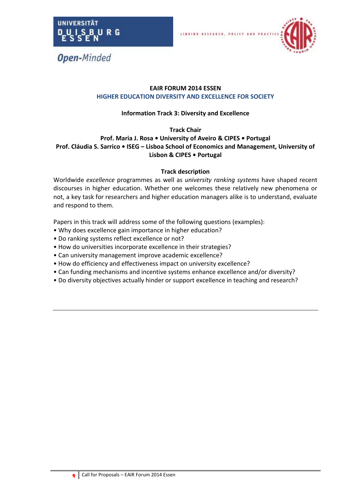



# **EAIR FORUM 2014 ESSEN HIGHER EDUCATION DIVERSITY AND EXCELLENCE FOR SOCIETY**

**LINKING** 

# **Information Track 3: Diversity and Excellence**

# **Track Chair**

# **Prof. Maria J. Rosa • University of Aveiro & CIPES • Portugal Prof. Cláudia S. Sarrico • ISEG – Lisboa School of Economics and Management, University of Lisbon & CIPES • Portugal**

# **Track description**

Worldwide *excellence* programmes as well as *university ranking systems* have shaped recent discourses in higher education. Whether one welcomes these relatively new phenomena or not, a key task for researchers and higher education managers alike is to understand, evaluate and respond to them.

- Why does excellence gain importance in higher education?
- Do ranking systems reflect excellence or not?
- How do universities incorporate excellence in their strategies?
- Can university management improve academic excellence?
- How do efficiency and effectiveness impact on university excellence?
- Can funding mechanisms and incentive systems enhance excellence and/or diversity?
- Do diversity objectives actually hinder or support excellence in teaching and research?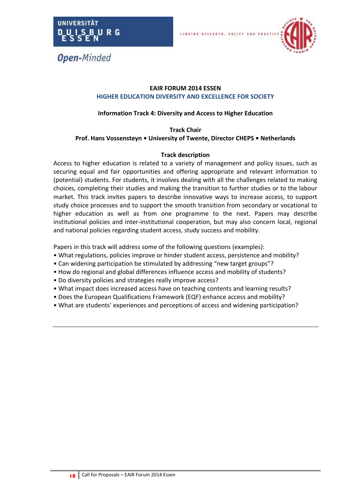



#### **EAIR FORUM 2014 ESSEN HIGHER EDUCATION DIVERSITY AND EXCELLENCE FOR SOCIETY**

LINKING

# **Information Track 4: Diversity and Access to Higher Education**

#### **Track Chair Prof. Hans Vossensteyn • University of Twente, Director CHEPS • Netherlands**

#### **Track description**

Access to higher education is related to a variety of management and policy issues, such as securing equal and fair opportunities and offering appropriate and relevant information to (potential) students. For students, it involves dealing with all the challenges related to making choices, completing their studies and making the transition to further studies or to the labour market. This track invites papers to describe innovative ways to increase access, to support study choice processes and to support the smooth transition from secondary or vocational to higher education as well as from one programme to the next. Papers may describe institutional policies and inter-institutional cooperation, but may also concern local, regional and national policies regarding student access, study success and mobility.

- What regulations, policies improve or hinder student access, persistence and mobility?
- Can widening participation be stimulated by addressing "new target groups"?
- How do regional and global differences influence access and mobility of students?
- Do diversity policies and strategies really improve access?
- What impact does increased access have on teaching contents and learning results?
- Does the European Qualifications Framework (EQF) enhance access and mobility?
- What are students' experiences and perceptions of access and widening participation?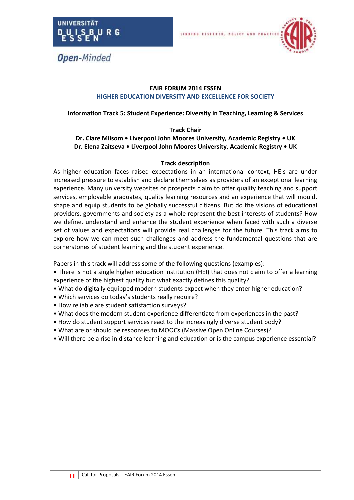



## **EAIR FORUM 2014 ESSEN HIGHER EDUCATION DIVERSITY AND EXCELLENCE FOR SOCIETY**

**LINKING** 

#### **Information Track 5: Student Experience: Diversity in Teaching, Learning & Services**

#### **Track Chair**

# **Dr. Clare Milsom • Liverpool John Moores University, Academic Registry • UK Dr. Elena Zaitseva • Liverpool John Moores University, Academic Registry • UK**

#### **Track description**

As higher education faces raised expectations in an international context, HEIs are under increased pressure to establish and declare themselves as providers of an exceptional learning experience. Many university websites or prospects claim to offer quality teaching and support services, employable graduates, quality learning resources and an experience that will mould, shape and equip students to be globally successful citizens. But do the visions of educational providers, governments and society as a whole represent the best interests of students? How we define, understand and enhance the student experience when faced with such a diverse set of values and expectations will provide real challenges for the future. This track aims to explore how we can meet such challenges and address the fundamental questions that are cornerstones of student learning and the student experience.

- There is not a single higher education institution (HEI) that does not claim to offer a learning experience of the highest quality but what exactly defines this quality?
- What do digitally equipped modern students expect when they enter higher education?
- Which services do today's students really require?
- How reliable are student satisfaction surveys?
- What does the modern student experience differentiate from experiences in the past?
- How do student support services react to the increasingly diverse student body?
- What are or should be responses to MOOCs (Massive Open Online Courses)?
- Will there be a rise in distance learning and education or is the campus experience essential?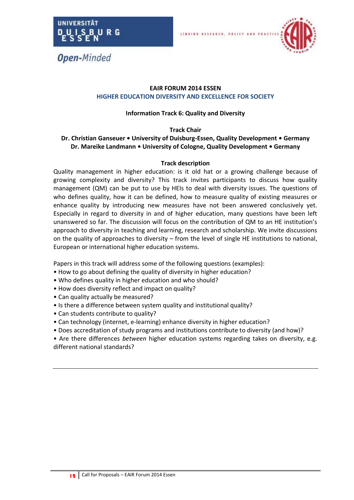



# **EAIR FORUM 2014 ESSEN HIGHER EDUCATION DIVERSITY AND EXCELLENCE FOR SOCIETY**

**LINKING** 

# **Information Track 6: Quality and Diversity**

#### **Track Chair**

# **Dr. Christian Ganseuer • University of Duisburg-Essen, Quality Development • Germany Dr. Mareike Landmann • University of Cologne, Quality Development • Germany**

#### **Track description**

Quality management in higher education: is it old hat or a growing challenge because of growing complexity and diversity? This track invites participants to discuss how quality management (QM) can be put to use by HEIs to deal with diversity issues. The questions of who defines quality, how it can be defined, how to measure quality of existing measures or enhance quality by introducing new measures have not been answered conclusively yet. Especially in regard to diversity in and of higher education, many questions have been left unanswered so far. The discussion will focus on the contribution of QM to an HE institution's approach to diversity in teaching and learning, research and scholarship. We invite discussions on the quality of approaches to diversity – from the level of single HE institutions to national, European or international higher education systems.

- How to go about defining the quality of diversity in higher education?
- Who defines quality in higher education and who should?
- How does diversity reflect and impact on quality?
- Can quality actually be measured?
- Is there a difference between system quality and institutional quality?
- Can students contribute to quality?
- Can technology (internet, e-learning) enhance diversity in higher education?
- Does accreditation of study programs and institutions contribute to diversity (and how)?
- Are there differences *between* higher education systems regarding takes on diversity, e.g. different national standards?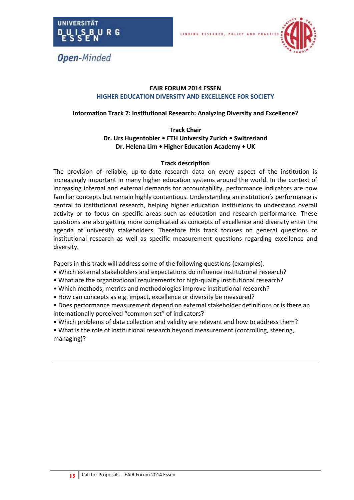



# **EAIR FORUM 2014 ESSEN HIGHER EDUCATION DIVERSITY AND EXCELLENCE FOR SOCIETY**

**LINKING** 

# **Information Track 7: Institutional Research: Analyzing Diversity and Excellence?**

#### **Track Chair Dr. Urs Hugentobler • ETH University Zurich • Switzerland Dr. Helena Lim • Higher Education Academy • UK**

# **Track description**

The provision of reliable, up-to-date research data on every aspect of the institution is increasingly important in many higher education systems around the world. In the context of increasing internal and external demands for accountability, performance indicators are now familiar concepts but remain highly contentious. Understanding an institution's performance is central to institutional research, helping higher education institutions to understand overall activity or to focus on specific areas such as education and research performance. These questions are also getting more complicated as concepts of excellence and diversity enter the agenda of university stakeholders. Therefore this track focuses on general questions of institutional research as well as specific measurement questions regarding excellence and diversity.

Papers in this track will address some of the following questions (examples):

- Which external stakeholders and expectations do influence institutional research?
- What are the organizational requirements for high-quality institutional research?
- Which methods, metrics and methodologies improve institutional research?
- How can concepts as e.g. impact, excellence or diversity be measured?

• Does performance measurement depend on external stakeholder definitions or is there an internationally perceived "common set" of indicators?

• Which problems of data collection and validity are relevant and how to address them?

• What is the role of institutional research beyond measurement (controlling, steering, managing)?